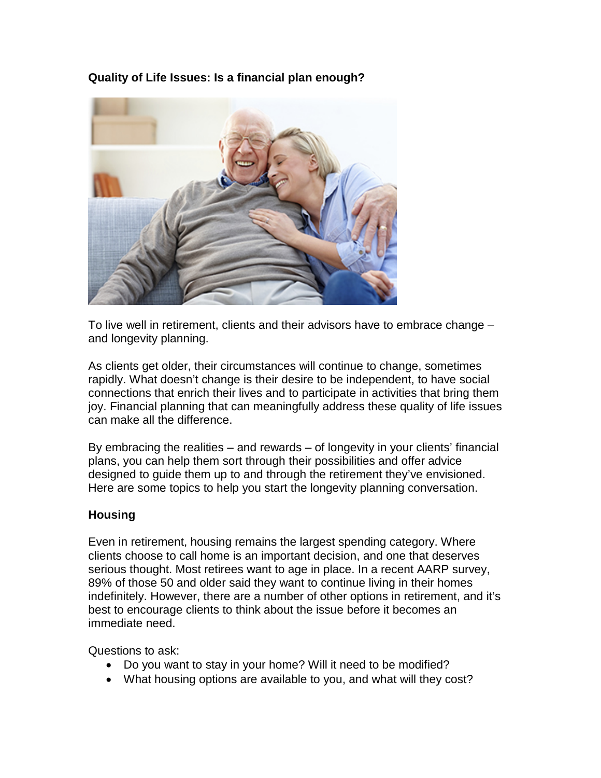## **Quality of Life Issues: Is a financial plan enough?**



To live well in retirement, clients and their advisors have to embrace change – and longevity planning.

As clients get older, their circumstances will continue to change, sometimes rapidly. What doesn't change is their desire to be independent, to have social connections that enrich their lives and to participate in activities that bring them joy. Financial planning that can meaningfully address these quality of life issues can make all the difference.

By embracing the realities – and rewards – of longevity in your clients' financial plans, you can help them sort through their possibilities and offer advice designed to guide them up to and through the retirement they've envisioned. Here are some topics to help you start the longevity planning conversation.

#### **Housing**

Even in retirement, housing remains the largest spending category. Where clients choose to call home is an important decision, and one that deserves serious thought. Most retirees want to age in place. In a recent AARP survey, 89% of those 50 and older said they want to continue living in their homes indefinitely. However, there are a number of other options in retirement, and it's best to encourage clients to think about the issue before it becomes an immediate need.

Questions to ask:

- Do you want to stay in your home? Will it need to be modified?
- What housing options are available to you, and what will they cost?